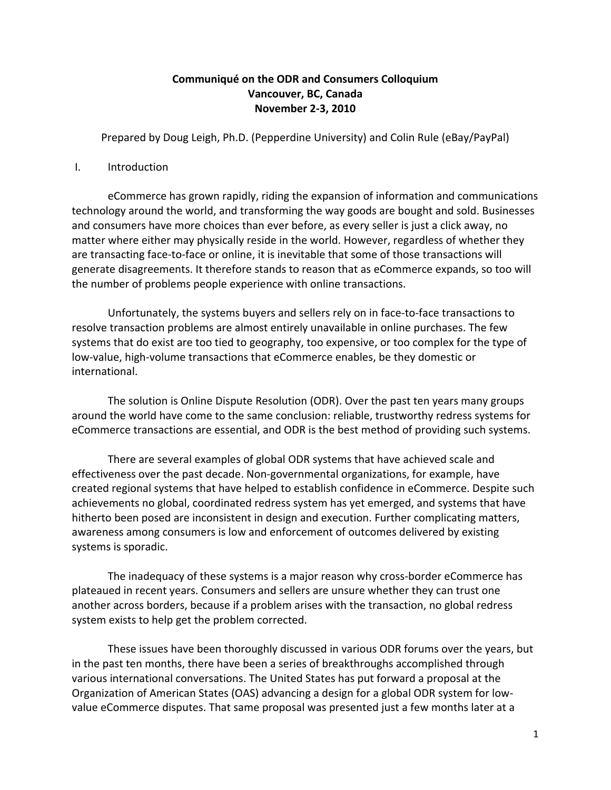# **Communiqué on the ODR and Consumers Colloquium Vancouver, BC, Canada November 2‐3, 2010**

Prepared by Doug Leigh, Ph.D. (Pepperdine University) and Colin Rule (eBay/PayPal)

### I. Introduction

eCommerce has grown rapidly, riding the expansion of information and communications technology around the world, and transforming the way goods are bought and sold. Businesses and consumers have more choices than ever before, as every seller is just a click away, no matter where either may physically reside in the world. However, regardless of whether they are transacting face‐to‐face or online, it is inevitable that some of those transactions will generate disagreements. It therefore stands to reason that as eCommerce expands, so too will the number of problems people experience with online transactions.

Unfortunately, the systems buyers and sellers rely on in face‐to‐face transactions to resolve transaction problems are almost entirely unavailable in online purchases. The few systems that do exist are too tied to geography, too expensive, or too complex for the type of low‐value, high‐volume transactions that eCommerce enables, be they domestic or international.

The solution is Online Dispute Resolution (ODR). Over the past ten years many groups around the world have come to the same conclusion: reliable, trustworthy redress systems for eCommerce transactions are essential, and ODR is the best method of providing such systems.

There are several examples of global ODR systems that have achieved scale and effectiveness over the past decade. Non‐governmental organizations, for example, have created regional systems that have helped to establish confidence in eCommerce. Despite such achievements no global, coordinated redress system has yet emerged, and systems that have hitherto been posed are inconsistent in design and execution. Further complicating matters, awareness among consumers is low and enforcement of outcomes delivered by existing systems is sporadic.

The inadequacy of these systems is a major reason why cross-border eCommerce has plateaued in recent years. Consumers and sellers are unsure whether they can trust one another across borders, because if a problem arises with the transaction, no global redress system exists to help get the problem corrected.

These issues have been thoroughly discussed in various ODR forums over the years, but in the past ten months, there have been a series of breakthroughs accomplished through various international conversations. The United States has put forward a proposal at the Organization of American States (OAS) advancing a design for a global ODR system for low‐ value eCommerce disputes. That same proposal was presented just a few months later at a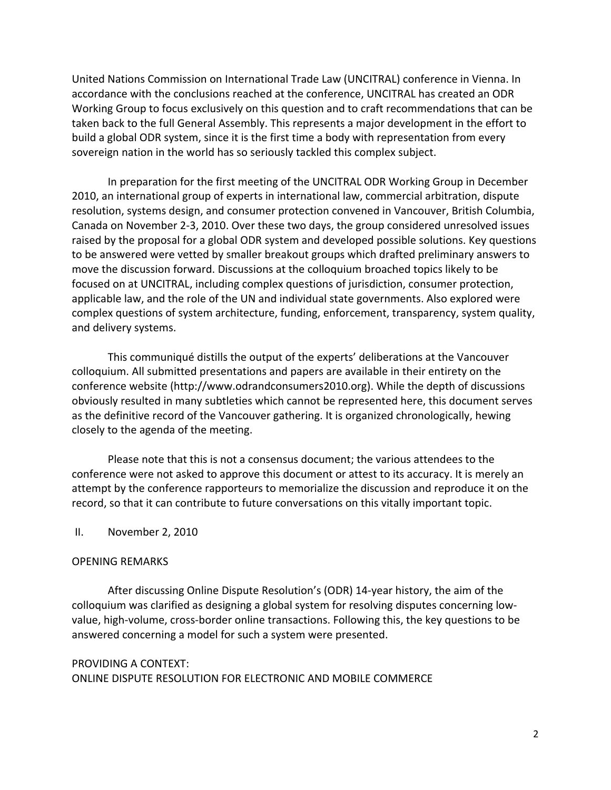United Nations Commission on International Trade Law (UNCITRAL) conference in Vienna. In accordance with the conclusions reached at the conference, UNCITRAL has created an ODR Working Group to focus exclusively on this question and to craft recommendations that can be taken back to the full General Assembly. This represents a major development in the effort to build a global ODR system, since it is the first time a body with representation from every sovereign nation in the world has so seriously tackled this complex subject.

In preparation for the first meeting of the UNCITRAL ODR Working Group in December 2010, an international group of experts in international law, commercial arbitration, dispute resolution, systems design, and consumer protection convened in Vancouver, British Columbia, Canada on November 2‐3, 2010. Over these two days, the group considered unresolved issues raised by the proposal for a global ODR system and developed possible solutions. Key questions to be answered were vetted by smaller breakout groups which drafted preliminary answers to move the discussion forward. Discussions at the colloquium broached topics likely to be focused on at UNCITRAL, including complex questions of jurisdiction, consumer protection, applicable law, and the role of the UN and individual state governments. Also explored were complex questions of system architecture, funding, enforcement, transparency, system quality, and delivery systems.

This communiqué distills the output of the experts' deliberations at the Vancouver colloquium. All submitted presentations and papers are available in their entirety on the conference website (http://www.odrandconsumers2010.org). While the depth of discussions obviously resulted in many subtleties which cannot be represented here, this document serves as the definitive record of the Vancouver gathering. It is organized chronologically, hewing closely to the agenda of the meeting.

Please note that this is not a consensus document; the various attendees to the conference were not asked to approve this document or attest to its accuracy. It is merely an attempt by the conference rapporteurs to memorialize the discussion and reproduce it on the record, so that it can contribute to future conversations on this vitally important topic.

## II. November 2, 2010

### OPENING REMARKS

After discussing Online Dispute Resolution's (ODR) 14‐year history, the aim of the colloquium was clarified as designing a global system for resolving disputes concerning low‐ value, high-volume, cross-border online transactions. Following this, the key questions to be answered concerning a model for such a system were presented.

# PROVIDING A CONTEXT: ONLINE DISPUTE RESOLUTION FOR ELECTRONIC AND MOBILE COMMERCE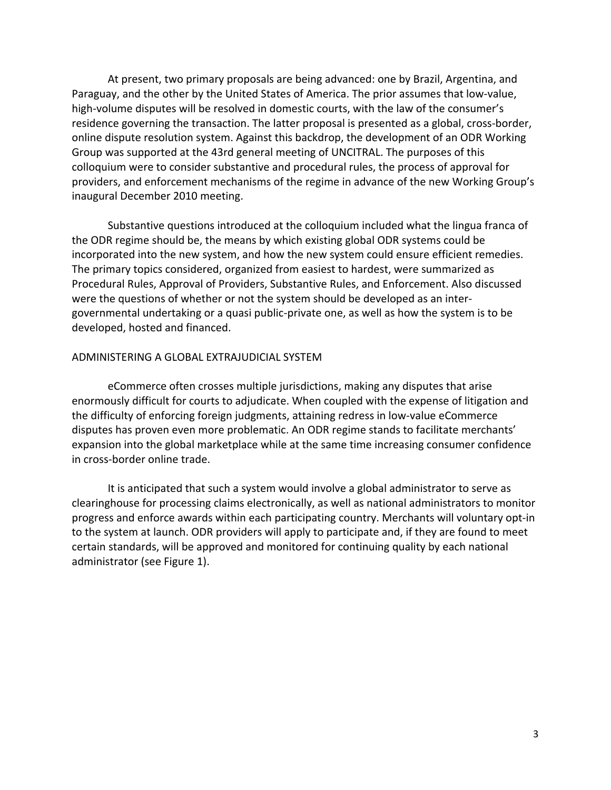At present, two primary proposals are being advanced: one by Brazil, Argentina, and Paraguay, and the other by the United States of America. The prior assumes that low‐value, high-volume disputes will be resolved in domestic courts, with the law of the consumer's residence governing the transaction. The latter proposal is presented as a global, cross-border, online dispute resolution system. Against this backdrop, the development of an ODR Working Group was supported at the 43rd general meeting of UNCITRAL. The purposes of this colloquium were to consider substantive and procedural rules, the process of approval for providers, and enforcement mechanisms of the regime in advance of the new Working Group's inaugural December 2010 meeting.

Substantive questions introduced at the colloquium included what the lingua franca of the ODR regime should be, the means by which existing global ODR systems could be incorporated into the new system, and how the new system could ensure efficient remedies. The primary topics considered, organized from easiest to hardest, were summarized as Procedural Rules, Approval of Providers, Substantive Rules, and Enforcement. Also discussed were the questions of whether or not the system should be developed as an intergovernmental undertaking or a quasi public‐private one, as well as how the system is to be developed, hosted and financed.

### ADMINISTERING A GLOBAL EXTRAJUDICIAL SYSTEM

eCommerce often crosses multiple jurisdictions, making any disputes that arise enormously difficult for courts to adjudicate. When coupled with the expense of litigation and the difficulty of enforcing foreign judgments, attaining redress in low-value eCommerce disputes has proven even more problematic. An ODR regime stands to facilitate merchants' expansion into the global marketplace while at the same time increasing consumer confidence in cross‐border online trade.

It is anticipated that such a system would involve a global administrator to serve as clearinghouse for processing claims electronically, as well as national administrators to monitor progress and enforce awards within each participating country. Merchants will voluntary opt‐in to the system at launch. ODR providers will apply to participate and, if they are found to meet certain standards, will be approved and monitored for continuing quality by each national administrator (see Figure 1).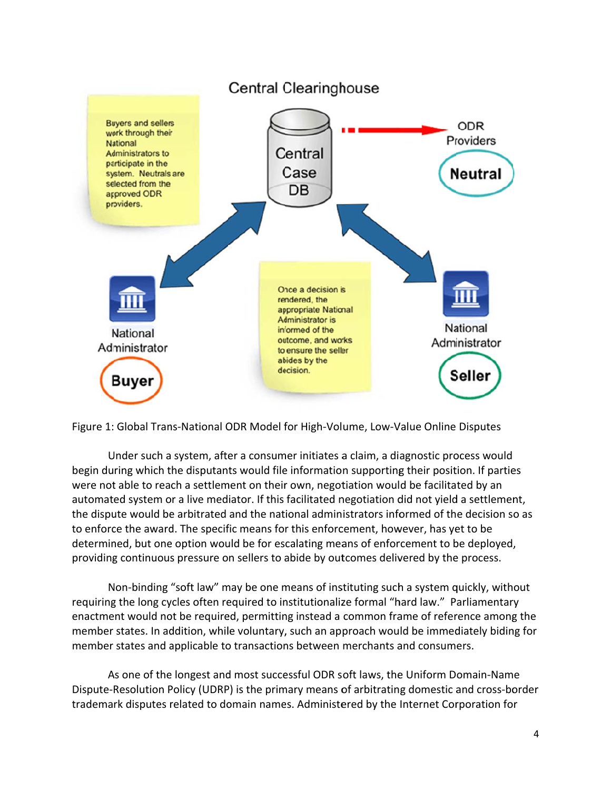



Under such a system, after a consumer initiates a claim, a diagnostic process would begin during which the disputants would file information supporting their position. If parties were not able to reach a settlement on their own, negotiation would be facilitated by an automated system or a live mediator. If this facilitated negotiation did not yield a settlement, the dispute would be arbitrated and the national administrators informed of the decision so as to enforce the award. The specific means for this enforcement, however, has yet to be determined, but one option would be for escalating means of enforcement to be deployed, providing continuous pressure on sellers to abide by outcomes delivered by the process. ined, but one option would be for escalating means of enforcement to be deployed,<br>ng continuous pressure on sellers to abide by outcomes delivered by the process.<br>Non-binding "soft law" may be one means of instituting such

requiring the long cycles often required to institutionalize formal "hard law." Parliamentary enactment would not be required, permitting instead a common frame of reference among the member states. In addition, while voluntary, such an approach would be immediately biding for member states and applicable to transactions between merchants and consumers.

As one of the longest and most successful ODR soft laws, the Uniform Domain-Name Dispute-Resolution Policy (UDRP) is the primary means of arbitrating domestic and cross-border trademark disputes related to domain names. Administered by the Internet Corporation for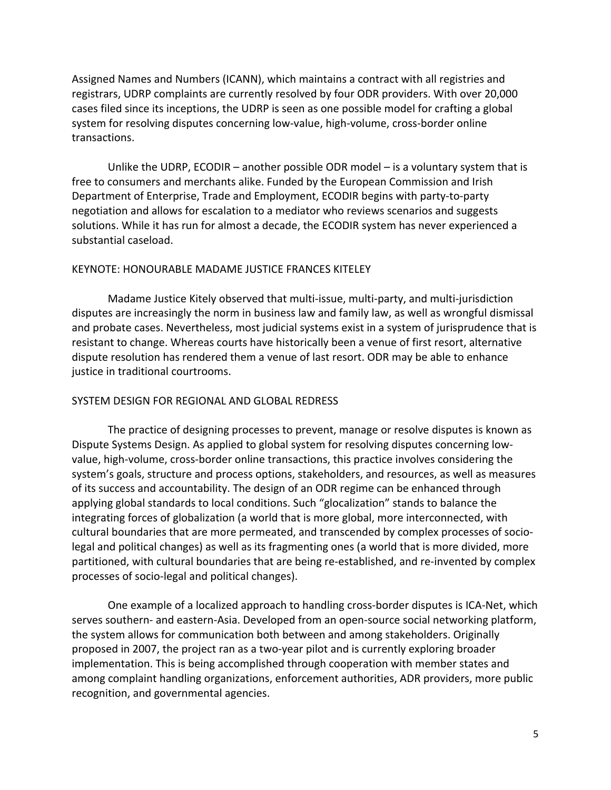Assigned Names and Numbers (ICANN), which maintains a contract with all registries and registrars, UDRP complaints are currently resolved by four ODR providers. With over 20,000 cases filed since its inceptions, the UDRP is seen as one possible model for crafting a global system for resolving disputes concerning low-value, high-volume, cross-border online transactions.

Unlike the UDRP, ECODIR – another possible ODR model – is a voluntary system that is free to consumers and merchants alike. Funded by the European Commission and Irish Department of Enterprise, Trade and Employment, ECODIR begins with party‐to‐party negotiation and allows for escalation to a mediator who reviews scenarios and suggests solutions. While it has run for almost a decade, the ECODIR system has never experienced a substantial caseload.

## KEYNOTE: HONOURABLE MADAME JUSTICE FRANCES KITELEY

Madame Justice Kitely observed that multi‐issue, multi‐party, and multi‐jurisdiction disputes are increasingly the norm in business law and family law, as well as wrongful dismissal and probate cases. Nevertheless, most judicial systems exist in a system of jurisprudence that is resistant to change. Whereas courts have historically been a venue of first resort, alternative dispute resolution has rendered them a venue of last resort. ODR may be able to enhance justice in traditional courtrooms.

## SYSTEM DESIGN FOR REGIONAL AND GLOBAL REDRESS

The practice of designing processes to prevent, manage or resolve disputes is known as Dispute Systems Design. As applied to global system for resolving disputes concerning low‐ value, high‐volume, cross‐border online transactions, this practice involves considering the system's goals, structure and process options, stakeholders, and resources, as well as measures of its success and accountability. The design of an ODR regime can be enhanced through applying global standards to local conditions. Such "glocalization" stands to balance the integrating forces of globalization (a world that is more global, more interconnected, with cultural boundaries that are more permeated, and transcended by complex processes of socio‐ legal and political changes) as well as its fragmenting ones (a world that is more divided, more partitioned, with cultural boundaries that are being re‐established, and re‐invented by complex processes of socio‐legal and political changes).

One example of a localized approach to handling cross‐border disputes is ICA‐Net, which serves southern- and eastern-Asia. Developed from an open-source social networking platform, the system allows for communication both between and among stakeholders. Originally proposed in 2007, the project ran as a two‐year pilot and is currently exploring broader implementation. This is being accomplished through cooperation with member states and among complaint handling organizations, enforcement authorities, ADR providers, more public recognition, and governmental agencies.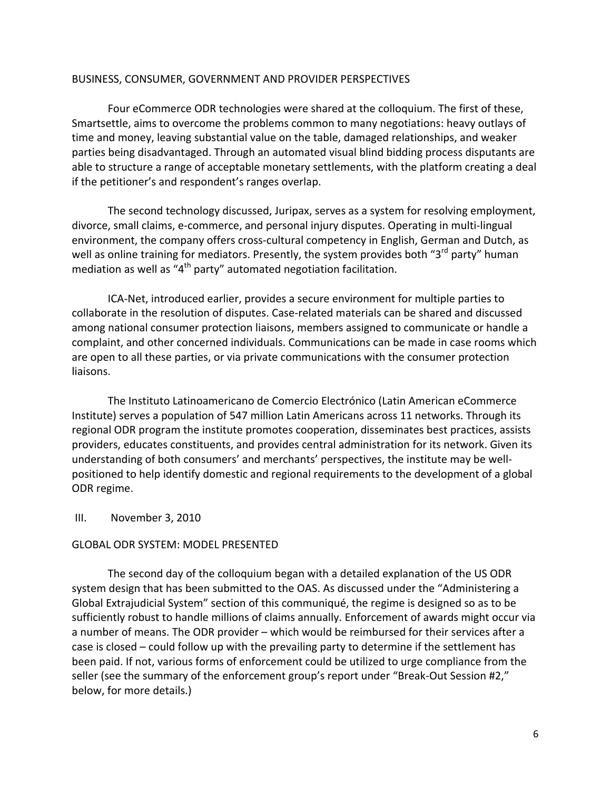### BUSINESS, CONSUMER, GOVERNMENT AND PROVIDER PERSPECTIVES

Four eCommerce ODR technologies were shared at the colloquium. The first of these, Smartsettle, aims to overcome the problems common to many negotiations: heavy outlays of time and money, leaving substantial value on the table, damaged relationships, and weaker parties being disadvantaged. Through an automated visual blind bidding process disputants are able to structure a range of acceptable monetary settlements, with the platform creating a deal if the petitioner's and respondent's ranges overlap.

The second technology discussed, Juripax, serves as a system for resolving employment, divorce, small claims, e‐commerce, and personal injury disputes. Operating in multi‐lingual environment, the company offers cross‐cultural competency in English, German and Dutch, as well as online training for mediators. Presently, the system provides both "3<sup>rd</sup> party" human mediation as well as " $4<sup>th</sup>$  party" automated negotiation facilitation.

ICA‐Net, introduced earlier, provides a secure environment for multiple parties to collaborate in the resolution of disputes. Case‐related materials can be shared and discussed among national consumer protection liaisons, members assigned to communicate or handle a complaint, and other concerned individuals. Communications can be made in case rooms which are open to all these parties, or via private communications with the consumer protection liaisons.

The Instituto Latinoamericano de Comercio Electrónico (Latin American eCommerce Institute) serves a population of 547 million Latin Americans across 11 networks. Through its regional ODR program the institute promotes cooperation, disseminates best practices, assists providers, educates constituents, and provides central administration for its network. Given its understanding of both consumers' and merchants' perspectives, the institute may be well‐ positioned to help identify domestic and regional requirements to the development of a global ODR regime.

### III. November 3, 2010

## GLOBAL ODR SYSTEM: MODEL PRESENTED

The second day of the colloquium began with a detailed explanation of the US ODR system design that has been submitted to the OAS. As discussed under the "Administering a Global Extrajudicial System" section of this communiqué, the regime is designed so as to be sufficiently robust to handle millions of claims annually. Enforcement of awards might occur via a number of means. The ODR provider – which would be reimbursed for their services after a case is closed – could follow up with the prevailing party to determine if the settlement has been paid. If not, various forms of enforcement could be utilized to urge compliance from the seller (see the summary of the enforcement group's report under "Break‐Out Session #2," below, for more details.)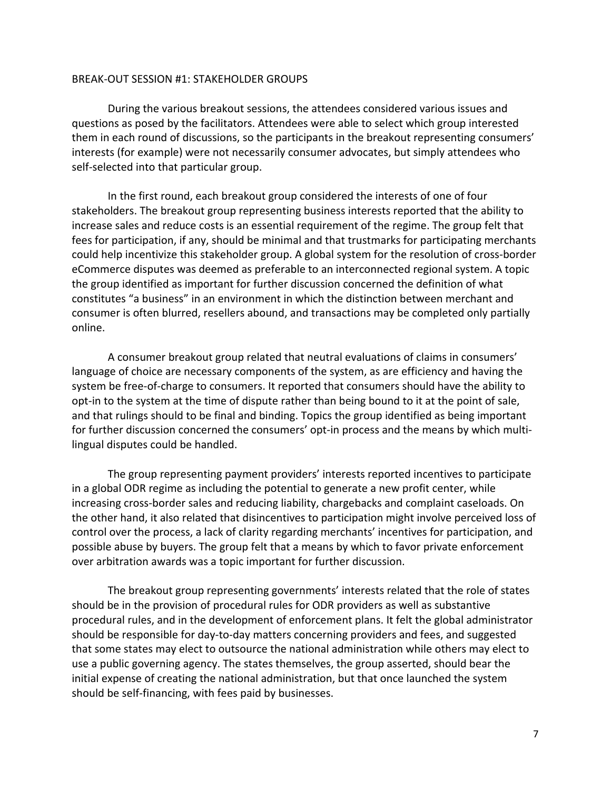### BREAK‐OUT SESSION #1: STAKEHOLDER GROUPS

During the various breakout sessions, the attendees considered various issues and questions as posed by the facilitators. Attendees were able to select which group interested them in each round of discussions, so the participants in the breakout representing consumers' interests (for example) were not necessarily consumer advocates, but simply attendees who self‐selected into that particular group.

In the first round, each breakout group considered the interests of one of four stakeholders. The breakout group representing business interests reported that the ability to increase sales and reduce costs is an essential requirement of the regime. The group felt that fees for participation, if any, should be minimal and that trustmarks for participating merchants could help incentivize this stakeholder group. A global system for the resolution of cross‐border eCommerce disputes was deemed as preferable to an interconnected regional system. A topic the group identified as important for further discussion concerned the definition of what constitutes "a business" in an environment in which the distinction between merchant and consumer is often blurred, resellers abound, and transactions may be completed only partially online.

A consumer breakout group related that neutral evaluations of claims in consumers' language of choice are necessary components of the system, as are efficiency and having the system be free-of-charge to consumers. It reported that consumers should have the ability to opt‐in to the system at the time of dispute rather than being bound to it at the point of sale, and that rulings should to be final and binding. Topics the group identified as being important for further discussion concerned the consumers' opt‐in process and the means by which multi‐ lingual disputes could be handled.

The group representing payment providers' interests reported incentives to participate in a global ODR regime as including the potential to generate a new profit center, while increasing cross‐border sales and reducing liability, chargebacks and complaint caseloads. On the other hand, it also related that disincentives to participation might involve perceived loss of control over the process, a lack of clarity regarding merchants' incentives for participation, and possible abuse by buyers. The group felt that a means by which to favor private enforcement over arbitration awards was a topic important for further discussion.

The breakout group representing governments' interests related that the role of states should be in the provision of procedural rules for ODR providers as well as substantive procedural rules, and in the development of enforcement plans. It felt the global administrator should be responsible for day‐to‐day matters concerning providers and fees, and suggested that some states may elect to outsource the national administration while others may elect to use a public governing agency. The states themselves, the group asserted, should bear the initial expense of creating the national administration, but that once launched the system should be self‐financing, with fees paid by businesses.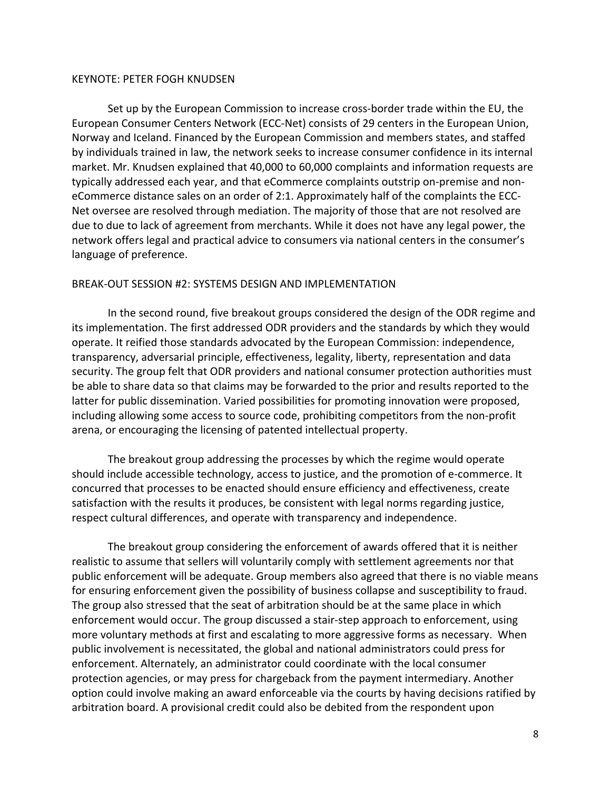#### KEYNOTE: PETER FOGH KNUDSEN

Set up by the European Commission to increase cross‐border trade within the EU, the European Consumer Centers Network (ECC‐Net) consists of 29 centers in the European Union, Norway and Iceland. Financed by the European Commission and members states, and staffed by individuals trained in law, the network seeks to increase consumer confidence in its internal market. Mr. Knudsen explained that 40,000 to 60,000 complaints and information requests are typically addressed each year, and that eCommerce complaints outstrip on‐premise and non‐ eCommerce distance sales on an order of 2:1. Approximately half of the complaints the ECC‐ Net oversee are resolved through mediation. The majority of those that are not resolved are due to due to lack of agreement from merchants. While it does not have any legal power, the network offers legal and practical advice to consumers via national centers in the consumer's language of preference.

#### BREAK‐OUT SESSION #2: SYSTEMS DESIGN AND IMPLEMENTATION

In the second round, five breakout groups considered the design of the ODR regime and its implementation. The first addressed ODR providers and the standards by which they would operate. It reified those standards advocated by the European Commission: independence, transparency, adversarial principle, effectiveness, legality, liberty, representation and data security. The group felt that ODR providers and national consumer protection authorities must be able to share data so that claims may be forwarded to the prior and results reported to the latter for public dissemination. Varied possibilities for promoting innovation were proposed, including allowing some access to source code, prohibiting competitors from the non‐profit arena, or encouraging the licensing of patented intellectual property.

The breakout group addressing the processes by which the regime would operate should include accessible technology, access to justice, and the promotion of e‐commerce. It concurred that processes to be enacted should ensure efficiency and effectiveness, create satisfaction with the results it produces, be consistent with legal norms regarding justice, respect cultural differences, and operate with transparency and independence.

The breakout group considering the enforcement of awards offered that it is neither realistic to assume that sellers will voluntarily comply with settlement agreements nor that public enforcement will be adequate. Group members also agreed that there is no viable means for ensuring enforcement given the possibility of business collapse and susceptibility to fraud. The group also stressed that the seat of arbitration should be at the same place in which enforcement would occur. The group discussed a stair‐step approach to enforcement, using more voluntary methods at first and escalating to more aggressive forms as necessary. When public involvement is necessitated, the global and national administrators could press for enforcement. Alternately, an administrator could coordinate with the local consumer protection agencies, or may press for chargeback from the payment intermediary. Another option could involve making an award enforceable via the courts by having decisions ratified by arbitration board. A provisional credit could also be debited from the respondent upon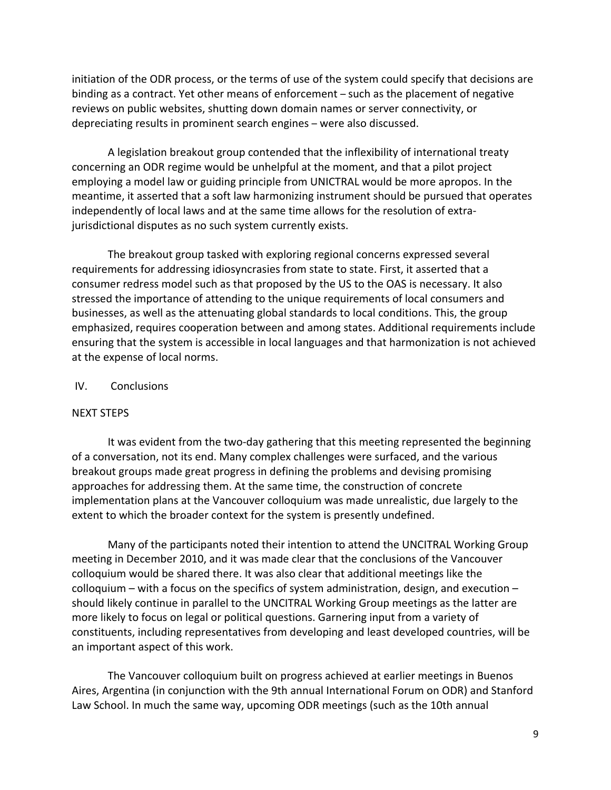initiation of the ODR process, or the terms of use of the system could specify that decisions are binding as a contract. Yet other means of enforcement – such as the placement of negative reviews on public websites, shutting down domain names or server connectivity, or depreciating results in prominent search engines – were also discussed.

A legislation breakout group contended that the inflexibility of international treaty concerning an ODR regime would be unhelpful at the moment, and that a pilot project employing a model law or guiding principle from UNICTRAL would be more apropos. In the meantime, it asserted that a soft law harmonizing instrument should be pursued that operates independently of local laws and at the same time allows for the resolution of extrajurisdictional disputes as no such system currently exists.

The breakout group tasked with exploring regional concerns expressed several requirements for addressing idiosyncrasies from state to state. First, it asserted that a consumer redress model such as that proposed by the US to the OAS is necessary. It also stressed the importance of attending to the unique requirements of local consumers and businesses, as well as the attenuating global standards to local conditions. This, the group emphasized, requires cooperation between and among states. Additional requirements include ensuring that the system is accessible in local languages and that harmonization is not achieved at the expense of local norms.

### IV. Conclusions

#### NEXT STEPS

It was evident from the two-day gathering that this meeting represented the beginning of a conversation, not its end. Many complex challenges were surfaced, and the various breakout groups made great progress in defining the problems and devising promising approaches for addressing them. At the same time, the construction of concrete implementation plans at the Vancouver colloquium was made unrealistic, due largely to the extent to which the broader context for the system is presently undefined.

Many of the participants noted their intention to attend the UNCITRAL Working Group meeting in December 2010, and it was made clear that the conclusions of the Vancouver colloquium would be shared there. It was also clear that additional meetings like the colloquium – with a focus on the specifics of system administration, design, and execution – should likely continue in parallel to the UNCITRAL Working Group meetings as the latter are more likely to focus on legal or political questions. Garnering input from a variety of constituents, including representatives from developing and least developed countries, will be an important aspect of this work.

The Vancouver colloquium built on progress achieved at earlier meetings in Buenos Aires, Argentina (in conjunction with the 9th annual International Forum on ODR) and Stanford Law School. In much the same way, upcoming ODR meetings (such as the 10th annual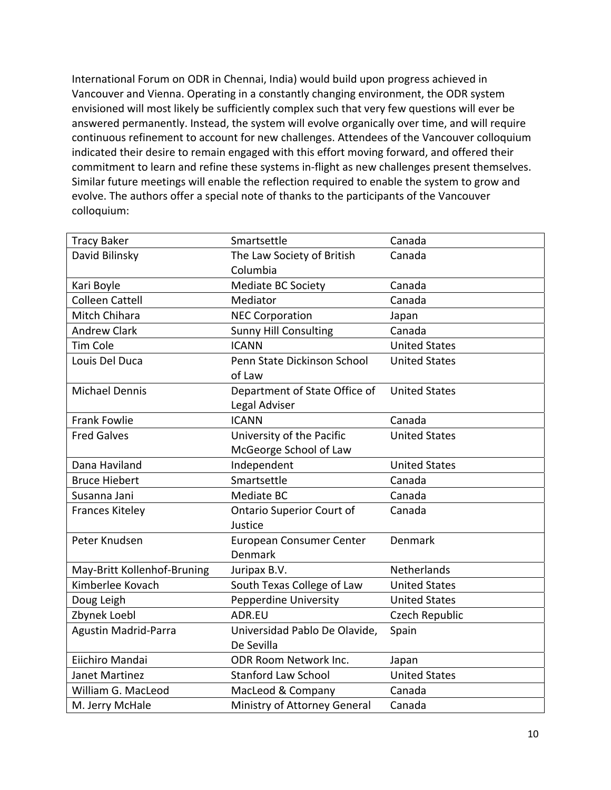International Forum on ODR in Chennai, India) would build upon progress achieved in Vancouver and Vienna. Operating in a constantly changing environment, the ODR system envisioned will most likely be sufficiently complex such that very few questions will ever be answered permanently. Instead, the system will evolve organically over time, and will require continuous refinement to account for new challenges. Attendees of the Vancouver colloquium indicated their desire to remain engaged with this effort moving forward, and offered their commitment to learn and refine these systems in‐flight as new challenges present themselves. Similar future meetings will enable the reflection required to enable the system to grow and evolve. The authors offer a special note of thanks to the participants of the Vancouver colloquium:

| <b>Tracy Baker</b>          | Smartsettle                      | Canada               |
|-----------------------------|----------------------------------|----------------------|
| David Bilinsky              | The Law Society of British       | Canada               |
|                             | Columbia                         |                      |
| Kari Boyle                  | Mediate BC Society               | Canada               |
| <b>Colleen Cattell</b>      | Mediator                         | Canada               |
| Mitch Chihara               | <b>NEC Corporation</b>           | Japan                |
| <b>Andrew Clark</b>         | <b>Sunny Hill Consulting</b>     | Canada               |
| <b>Tim Cole</b>             | <b>ICANN</b>                     | <b>United States</b> |
| Louis Del Duca              | Penn State Dickinson School      | <b>United States</b> |
|                             | of Law                           |                      |
| <b>Michael Dennis</b>       | Department of State Office of    | <b>United States</b> |
|                             | Legal Adviser                    |                      |
| <b>Frank Fowlie</b>         | <b>ICANN</b>                     | Canada               |
| <b>Fred Galves</b>          | University of the Pacific        | <b>United States</b> |
|                             | McGeorge School of Law           |                      |
| Dana Haviland               | Independent                      | <b>United States</b> |
| <b>Bruce Hiebert</b>        | Smartsettle                      | Canada               |
| Susanna Jani                | Mediate BC                       | Canada               |
| <b>Frances Kiteley</b>      | <b>Ontario Superior Court of</b> | Canada               |
|                             | Justice                          |                      |
| Peter Knudsen               | <b>European Consumer Center</b>  | Denmark              |
|                             | Denmark                          |                      |
| May-Britt Kollenhof-Bruning | Juripax B.V.                     | Netherlands          |
| Kimberlee Kovach            | South Texas College of Law       | <b>United States</b> |
| Doug Leigh                  | <b>Pepperdine University</b>     | <b>United States</b> |
| Zbynek Loebl                | ADR.EU                           | Czech Republic       |
| Agustin Madrid-Parra        | Universidad Pablo De Olavide,    | Spain                |
|                             | De Sevilla                       |                      |
| Eiichiro Mandai             | <b>ODR Room Network Inc.</b>     | Japan                |
| Janet Martinez              | <b>Stanford Law School</b>       | <b>United States</b> |
| William G. MacLeod          | MacLeod & Company                | Canada               |
| M. Jerry McHale             | Ministry of Attorney General     | Canada               |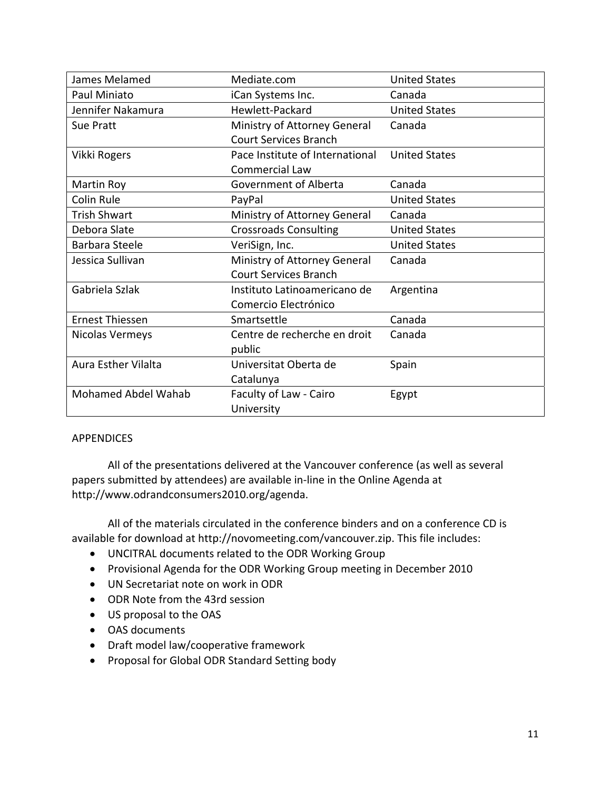| James Melamed              | Mediate.com                     | <b>United States</b> |
|----------------------------|---------------------------------|----------------------|
| Paul Miniato               | iCan Systems Inc.               | Canada               |
| Jennifer Nakamura          | Hewlett-Packard                 | <b>United States</b> |
| Sue Pratt                  | Ministry of Attorney General    | Canada               |
|                            | <b>Court Services Branch</b>    |                      |
| Vikki Rogers               | Pace Institute of International | <b>United States</b> |
|                            | <b>Commercial Law</b>           |                      |
| Martin Roy                 | Government of Alberta           | Canada               |
| Colin Rule                 | PayPal                          | <b>United States</b> |
| <b>Trish Shwart</b>        | Ministry of Attorney General    | Canada               |
| Debora Slate               | <b>Crossroads Consulting</b>    | <b>United States</b> |
| <b>Barbara Steele</b>      | VeriSign, Inc.                  | <b>United States</b> |
| Jessica Sullivan           | Ministry of Attorney General    | Canada               |
|                            | <b>Court Services Branch</b>    |                      |
| Gabriela Szlak             | Instituto Latinoamericano de    | Argentina            |
|                            | Comercio Electrónico            |                      |
| Ernest Thiessen            | Smartsettle                     | Canada               |
| Nicolas Vermeys            | Centre de recherche en droit    | Canada               |
|                            | public                          |                      |
| <b>Aura Esther Vilalta</b> | Universitat Oberta de           | Spain                |
|                            | Catalunya                       |                      |
| <b>Mohamed Abdel Wahab</b> | Faculty of Law - Cairo          | Egypt                |
|                            | University                      |                      |

# APPENDICES

All of the presentations delivered at the Vancouver conference (as well as several papers submitted by attendees) are available in‐line in the Online Agenda at http://www.odrandconsumers2010.org/agenda.

All of the materials circulated in the conference binders and on a conference CD is available for download at http://novomeeting.com/vancouver.zip. This file includes:

- UNCITRAL documents related to the ODR Working Group
- Provisional Agenda for the ODR Working Group meeting in December 2010
- UN Secretariat note on work in ODR
- ODR Note from the 43rd session
- US proposal to the OAS
- OAS documents
- Draft model law/cooperative framework
- Proposal for Global ODR Standard Setting body